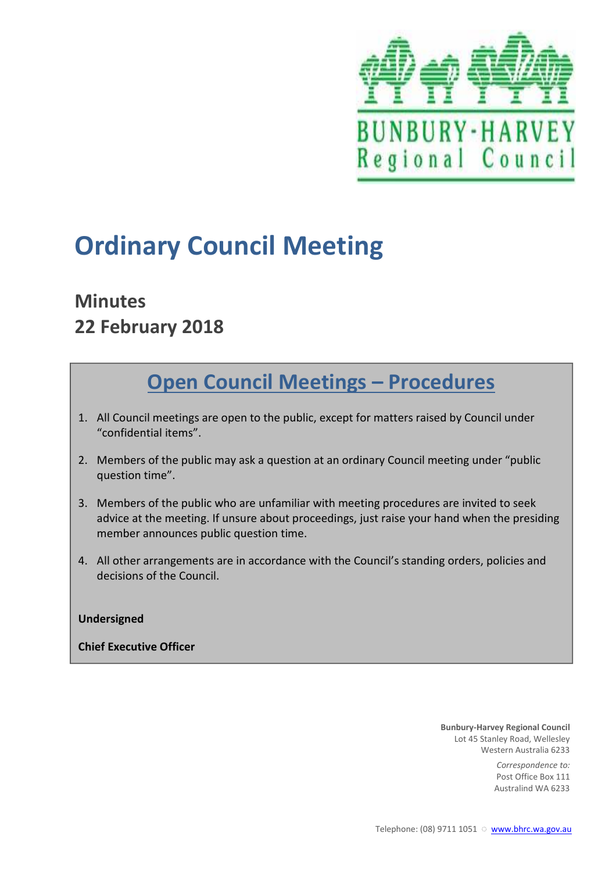

# **Ordinary Council Meeting**

# **Minutes 22 February 2018**

# **Open Council Meetings – Procedures**

- 1. All Council meetings are open to the public, except for matters raised by Council under "confidential items".
- 2. Members of the public may ask a question at an ordinary Council meeting under "public question time".
- 3. Members of the public who are unfamiliar with meeting procedures are invited to seek advice at the meeting. If unsure about proceedings, just raise your hand when the presiding member announces public question time.
- 4. All other arrangements are in accordance with the Council's standing orders, policies and decisions of the Council.

### **Undersigned**

**Chief Executive Officer** 

**Bunbury-Harvey Regional Council** Lot 45 Stanley Road, Wellesley Western Australia 6233

> *Correspondence to:* Post Office Box 111 Australind WA 6233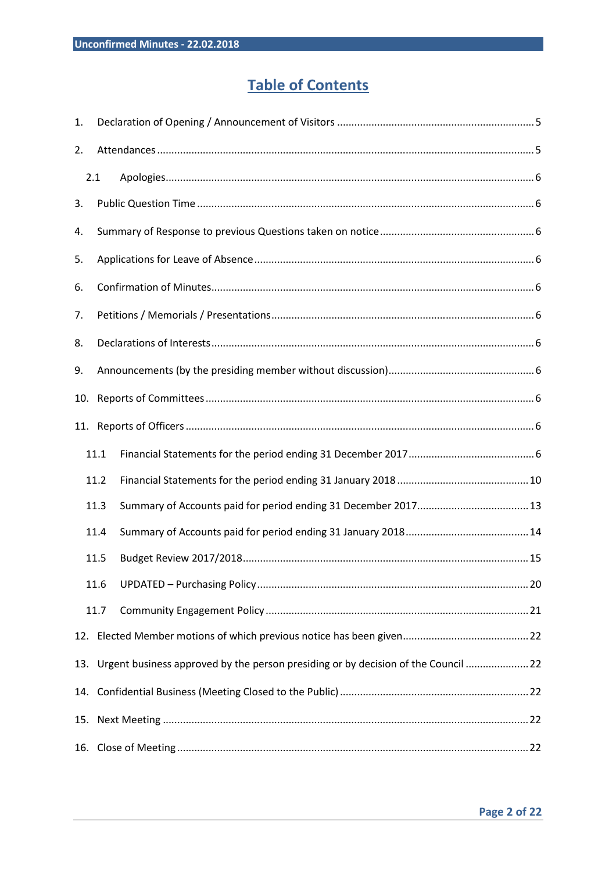### **Table of Contents**

| 1.  |      |                                                                                       |
|-----|------|---------------------------------------------------------------------------------------|
| 2.  |      |                                                                                       |
|     | 2.1  |                                                                                       |
| 3.  |      |                                                                                       |
| 4.  |      |                                                                                       |
| 5.  |      |                                                                                       |
| 6.  |      |                                                                                       |
| 7.  |      |                                                                                       |
| 8.  |      |                                                                                       |
| 9.  |      |                                                                                       |
| 10. |      |                                                                                       |
|     |      |                                                                                       |
|     | 11.1 |                                                                                       |
|     | 11.2 |                                                                                       |
|     | 11.3 |                                                                                       |
|     | 11.4 |                                                                                       |
|     | 11.5 |                                                                                       |
|     | 11.6 |                                                                                       |
|     | 11.7 |                                                                                       |
|     |      |                                                                                       |
|     |      | 13. Urgent business approved by the person presiding or by decision of the Council 22 |
|     |      |                                                                                       |
|     |      |                                                                                       |
|     |      |                                                                                       |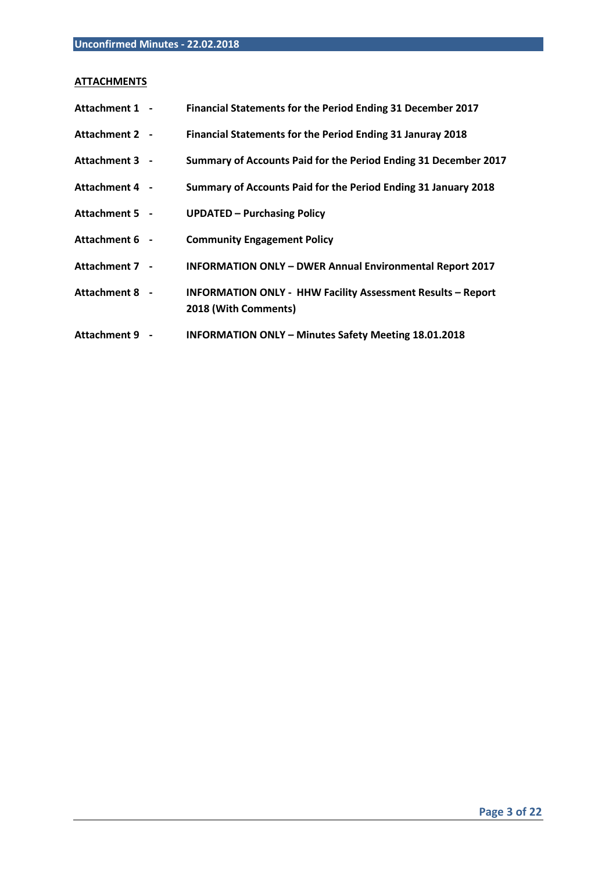### **ATTACHMENTS**

| Attachment 1 - | Financial Statements for the Period Ending 31 December 2017                                |  |
|----------------|--------------------------------------------------------------------------------------------|--|
| Attachment 2 - | Financial Statements for the Period Ending 31 Januray 2018                                 |  |
| Attachment 3 - | Summary of Accounts Paid for the Period Ending 31 December 2017                            |  |
| Attachment 4 - | Summary of Accounts Paid for the Period Ending 31 January 2018                             |  |
| Attachment 5 - | <b>UPDATED - Purchasing Policy</b>                                                         |  |
| Attachment 6 - | <b>Community Engagement Policy</b>                                                         |  |
| Attachment 7 - | <b>INFORMATION ONLY - DWER Annual Environmental Report 2017</b>                            |  |
| Attachment 8 - | <b>INFORMATION ONLY - HHW Facility Assessment Results - Report</b><br>2018 (With Comments) |  |
| Attachment 9 - | <b>INFORMATION ONLY - Minutes Safety Meeting 18.01.2018</b>                                |  |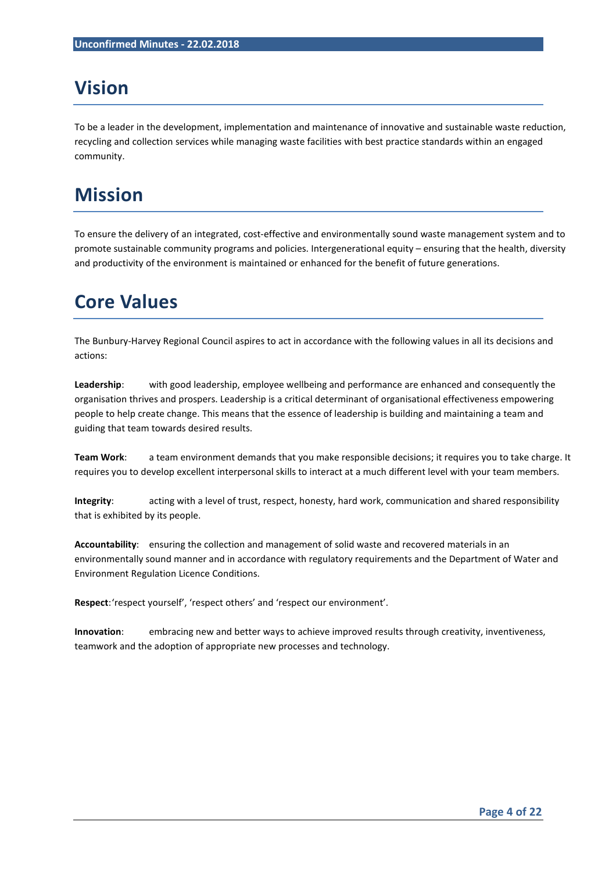## **Vision**

To be a leader in the development, implementation and maintenance of innovative and sustainable waste reduction, recycling and collection services while managing waste facilities with best practice standards within an engaged community.

## **Mission**

To ensure the delivery of an integrated, cost-effective and environmentally sound waste management system and to promote sustainable community programs and policies. Intergenerational equity – ensuring that the health, diversity and productivity of the environment is maintained or enhanced for the benefit of future generations.

## **Core Values**

The Bunbury-Harvey Regional Council aspires to act in accordance with the following values in all its decisions and actions:

**Leadership**: with good leadership, employee wellbeing and performance are enhanced and consequently the organisation thrives and prospers. Leadership is a critical determinant of organisational effectiveness empowering people to help create change. This means that the essence of leadership is building and maintaining a team and guiding that team towards desired results.

**Team Work**: a team environment demands that you make responsible decisions; it requires you to take charge. It requires you to develop excellent interpersonal skills to interact at a much different level with your team members.

**Integrity**: acting with a level of trust, respect, honesty, hard work, communication and shared responsibility that is exhibited by its people.

**Accountability**: ensuring the collection and management of solid waste and recovered materials in an environmentally sound manner and in accordance with regulatory requirements and the Department of Water and Environment Regulation Licence Conditions.

**Respect**: 'respect yourself', 'respect others' and 'respect our environment'.

**Innovation**: embracing new and better ways to achieve improved results through creativity, inventiveness, teamwork and the adoption of appropriate new processes and technology.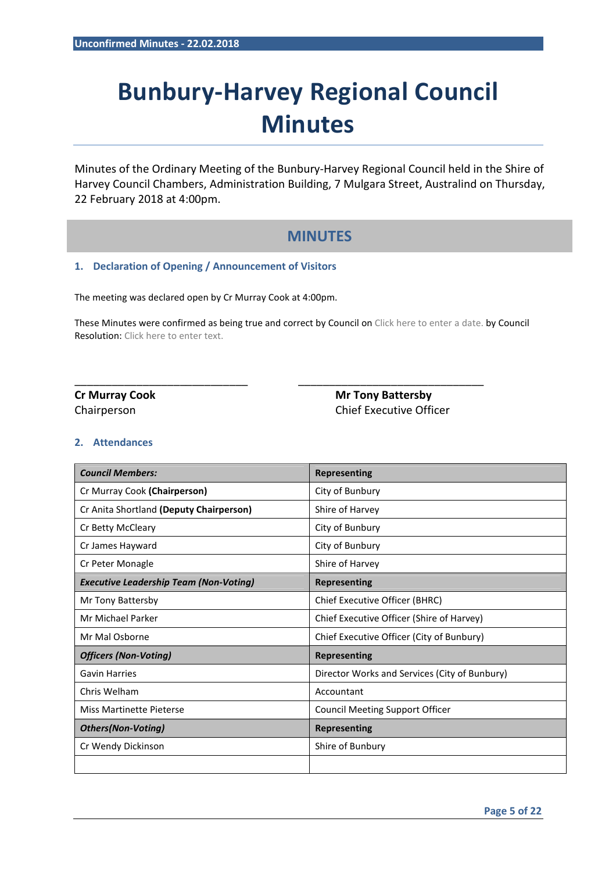# **Bunbury-Harvey Regional Council Minutes**

Minutes of the Ordinary Meeting of the Bunbury-Harvey Regional Council held in the Shire of Harvey Council Chambers, Administration Building, 7 Mulgara Street, Australind on Thursday, 22 February 2018 at 4:00pm.

### **MINUTES**

#### **1. Declaration of Opening / Announcement of Visitors**

The meeting was declared open by Cr Murray Cook at 4:00pm.

These Minutes were confirmed as being true and correct by Council on Click here to enter a date. by Council Resolution: Click here to enter text.

\_\_\_\_\_\_\_\_\_\_\_\_\_\_\_\_\_\_\_\_\_\_\_\_\_\_\_\_ \_\_\_\_\_\_\_\_\_\_\_\_\_\_\_\_\_\_\_\_\_\_\_\_\_\_\_\_\_\_

**Cr Murray Cook Cr Murray Cook** Mr Tony Battersby Chairperson Chief Executive Officer

#### **2. Attendances**

| <b>Council Members:</b>                       | <b>Representing</b>                           |
|-----------------------------------------------|-----------------------------------------------|
| Cr Murray Cook (Chairperson)                  | City of Bunbury                               |
| Cr Anita Shortland (Deputy Chairperson)       | Shire of Harvey                               |
| Cr Betty McCleary                             | City of Bunbury                               |
| Cr James Hayward                              | City of Bunbury                               |
| Cr Peter Monagle                              | Shire of Harvey                               |
| <b>Executive Leadership Team (Non-Voting)</b> | <b>Representing</b>                           |
| Mr Tony Battersby                             | Chief Executive Officer (BHRC)                |
| Mr Michael Parker                             | Chief Executive Officer (Shire of Harvey)     |
| Mr Mal Osborne                                | Chief Executive Officer (City of Bunbury)     |
| <b>Officers (Non-Voting)</b>                  | <b>Representing</b>                           |
| <b>Gavin Harries</b>                          | Director Works and Services (City of Bunbury) |
| Chris Welham                                  | Accountant                                    |
| Miss Martinette Pieterse                      | <b>Council Meeting Support Officer</b>        |
| <b>Others(Non-Voting)</b>                     | <b>Representing</b>                           |
| Cr Wendy Dickinson                            | Shire of Bunbury                              |
|                                               |                                               |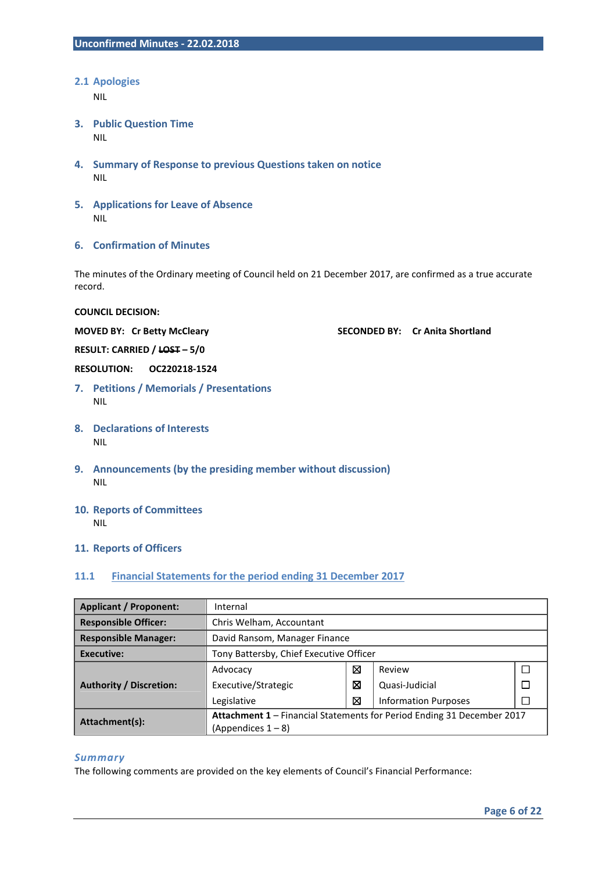#### **2.1 Apologies**

NIL

- **3. Public Question Time**  NIL
- **4. Summary of Response to previous Questions taken on notice**  NIL
- **5. Applications for Leave of Absence**  NIL
- **6. Confirmation of Minutes**

The minutes of the Ordinary meeting of Council held on 21 December 2017, are confirmed as a true accurate record.

**COUNCIL DECISION:** 

**MOVED BY: Cr Betty McCleary SECONDED BY: Cr Anita Shortland** 

**RESULT: CARRIED / LOST – 5/0** 

**RESOLUTION: OC220218-1524** 

- **7. Petitions / Memorials / Presentations**  NIL
- **8. Declarations of Interests**  NIL
- **9. Announcements (by the presiding member without discussion)**  NIL
- **10. Reports of Committees**  NIL

#### **11. Reports of Officers**

#### **11.1 Financial Statements for the period ending 31 December 2017**

| <b>Applicant / Proponent:</b>  | Internal                                                               |   |                             |  |  |
|--------------------------------|------------------------------------------------------------------------|---|-----------------------------|--|--|
| <b>Responsible Officer:</b>    | Chris Welham, Accountant                                               |   |                             |  |  |
| <b>Responsible Manager:</b>    | David Ransom, Manager Finance                                          |   |                             |  |  |
| <b>Executive:</b>              | Tony Battersby, Chief Executive Officer                                |   |                             |  |  |
|                                | Advocacy                                                               | ⊠ | Review                      |  |  |
| <b>Authority / Discretion:</b> | Executive/Strategic                                                    | ⊠ | Quasi-Judicial              |  |  |
|                                | Legislative                                                            | ⊠ | <b>Information Purposes</b> |  |  |
| Attachment(s):                 | Attachment 1 - Financial Statements for Period Ending 31 December 2017 |   |                             |  |  |
|                                | $(A$ ppendices $1 - 8$ )                                               |   |                             |  |  |

#### *Summary*

The following comments are provided on the key elements of Council's Financial Performance: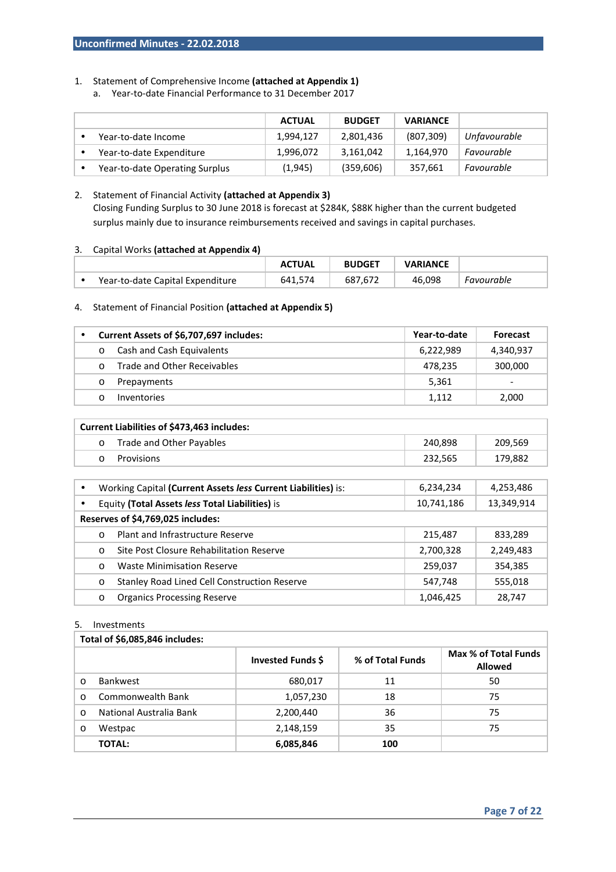#### 1. Statement of Comprehensive Income **(attached at Appendix 1)**

a. Year-to-date Financial Performance to 31 December 2017

|                                | <b>ACTUAL</b> | <b>BUDGET</b> | <b>VARIANCE</b> |              |
|--------------------------------|---------------|---------------|-----------------|--------------|
| Year-to-date Income            | 1.994.127     | 2,801,436     | (807, 309)      | Unfavourable |
| Year-to-date Expenditure       | 1,996,072     | 3,161,042     | 1,164,970       | Favourable   |
| Year-to-date Operating Surplus | (1,945)       | (359, 606)    | 357,661         | Favourable   |

#### 2. Statement of Financial Activity **(attached at Appendix 3)**  Closing Funding Surplus to 30 June 2018 is forecast at \$284K, \$88K higher than the current budgeted surplus mainly due to insurance reimbursements received and savings in capital purchases.

#### 3. Capital Works **(attached at Appendix 4)**

|                                  | <b>ACTUAL</b> | <b>BUDGET</b> | <b>VARIANCE</b> |            |
|----------------------------------|---------------|---------------|-----------------|------------|
| Year-to-date Capital Expenditure | 574<br>641.5  | 687,672       | 46.098          | Favourable |

#### 4. Statement of Financial Position **(attached at Appendix 5)**

|          | Current Assets of \$6,707,697 includes: | Year-to-date | <b>Forecast</b> |
|----------|-----------------------------------------|--------------|-----------------|
| $\circ$  | Cash and Cash Equivalents               | 6,222,989    | 4,340,937       |
| $\Omega$ | Trade and Other Receivables             | 478,235      | 300,000         |
|          | Prepayments                             | 5,361        | -               |
|          | <b>Inventories</b>                      | 1.112        | 2,000           |

| <b>Current Liabilities of \$473,463 includes:</b> |                          |         |         |  |
|---------------------------------------------------|--------------------------|---------|---------|--|
|                                                   | Trade and Other Payables | 240.898 | 209,569 |  |
|                                                   | Provisions               | 232.565 | 179,882 |  |

| $\bullet$ |                                                 | Working Capital (Current Assets less Current Liabilities) is: | 6,234,234  | 4,253,486  |  |
|-----------|-------------------------------------------------|---------------------------------------------------------------|------------|------------|--|
|           | Equity (Total Assets less Total Liabilities) is |                                                               | 10,741,186 | 13,349,914 |  |
|           | Reserves of \$4,769,025 includes:               |                                                               |            |            |  |
|           | $\Omega$                                        | Plant and Infrastructure Reserve                              | 215,487    | 833,289    |  |
|           | $\circ$                                         | Site Post Closure Rehabilitation Reserve                      | 2,700,328  | 2,249,483  |  |
|           | $\circ$                                         | <b>Waste Minimisation Reserve</b>                             | 259,037    | 354,385    |  |
|           | $\circ$                                         | <b>Stanley Road Lined Cell Construction Reserve</b>           | 547,748    | 555,018    |  |
|           | $\circ$                                         | <b>Organics Processing Reserve</b>                            | 1,046,425  | 28,747     |  |

#### 5. Investments

|          | Total of \$6,085,846 includes: |                   |                  |                                        |  |  |
|----------|--------------------------------|-------------------|------------------|----------------------------------------|--|--|
|          |                                | Invested Funds \$ | % of Total Funds | Max % of Total Funds<br><b>Allowed</b> |  |  |
| $\Omega$ | <b>Bankwest</b>                | 680,017           | 11               | 50                                     |  |  |
| $\Omega$ | Commonwealth Bank              | 1,057,230         | 18               | 75                                     |  |  |
| $\Omega$ | National Australia Bank        | 2,200,440         | 36               | 75                                     |  |  |
| $\circ$  | Westpac                        | 2,148,159         | 35               | 75                                     |  |  |
|          | <b>TOTAL:</b>                  | 6,085,846         | 100              |                                        |  |  |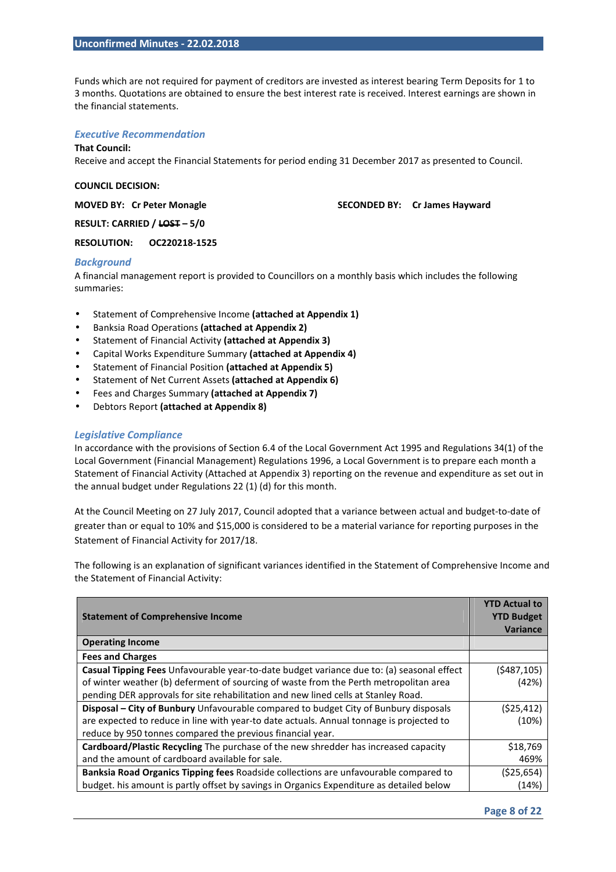Funds which are not required for payment of creditors are invested as interest bearing Term Deposits for 1 to 3 months. Quotations are obtained to ensure the best interest rate is received. Interest earnings are shown in the financial statements.

#### *Executive Recommendation*

#### **That Council:**

Receive and accept the Financial Statements for period ending 31 December 2017 as presented to Council.

#### **COUNCIL DECISION:**

**MOVED BY: Cr Peter Monagle SECONDED BY: Cr James Hayward SECONDED BY: Cr James Hayward** 

**RESULT: CARRIED / LOST – 5/0** 

#### **RESOLUTION: OC220218-1525**

#### *Background*

A financial management report is provided to Councillors on a monthly basis which includes the following summaries:

- Statement of Comprehensive Income **(attached at Appendix 1)**
- Banksia Road Operations **(attached at Appendix 2)**
- Statement of Financial Activity **(attached at Appendix 3)**
- Capital Works Expenditure Summary **(attached at Appendix 4)**
- Statement of Financial Position **(attached at Appendix 5)**
- Statement of Net Current Assets **(attached at Appendix 6)**
- Fees and Charges Summary **(attached at Appendix 7)**
- Debtors Report **(attached at Appendix 8)**

#### *Legislative Compliance*

In accordance with the provisions of Section 6.4 of the Local Government Act 1995 and Regulations 34(1) of the Local Government (Financial Management) Regulations 1996, a Local Government is to prepare each month a Statement of Financial Activity (Attached at Appendix 3) reporting on the revenue and expenditure as set out in the annual budget under Regulations 22 (1) (d) for this month.

At the Council Meeting on 27 July 2017, Council adopted that a variance between actual and budget-to-date of greater than or equal to 10% and \$15,000 is considered to be a material variance for reporting purposes in the Statement of Financial Activity for 2017/18.

The following is an explanation of significant variances identified in the Statement of Comprehensive Income and the Statement of Financial Activity:

| <b>Statement of Comprehensive Income</b>                                                    | <b>YTD Actual to</b><br><b>YTD Budget</b> |
|---------------------------------------------------------------------------------------------|-------------------------------------------|
|                                                                                             | <b>Variance</b>                           |
| <b>Operating Income</b>                                                                     |                                           |
| <b>Fees and Charges</b>                                                                     |                                           |
| Casual Tipping Fees Unfavourable year-to-date budget variance due to: (a) seasonal effect   | (5487, 105)                               |
| of winter weather (b) deferment of sourcing of waste from the Perth metropolitan area       | (42%)                                     |
| pending DER approvals for site rehabilitation and new lined cells at Stanley Road.          |                                           |
| <b>Disposal – City of Bunbury</b> Unfavourable compared to budget City of Bunbury disposals | (525, 412)                                |
| are expected to reduce in line with year-to date actuals. Annual tonnage is projected to    | (10%)                                     |
| reduce by 950 tonnes compared the previous financial year.                                  |                                           |
| Cardboard/Plastic Recycling The purchase of the new shredder has increased capacity         | \$18,769                                  |
| and the amount of cardboard available for sale.                                             | 469%                                      |
| Banksia Road Organics Tipping fees Roadside collections are unfavourable compared to        | (\$25,654)                                |
| budget. his amount is partly offset by savings in Organics Expenditure as detailed below    | (14%)                                     |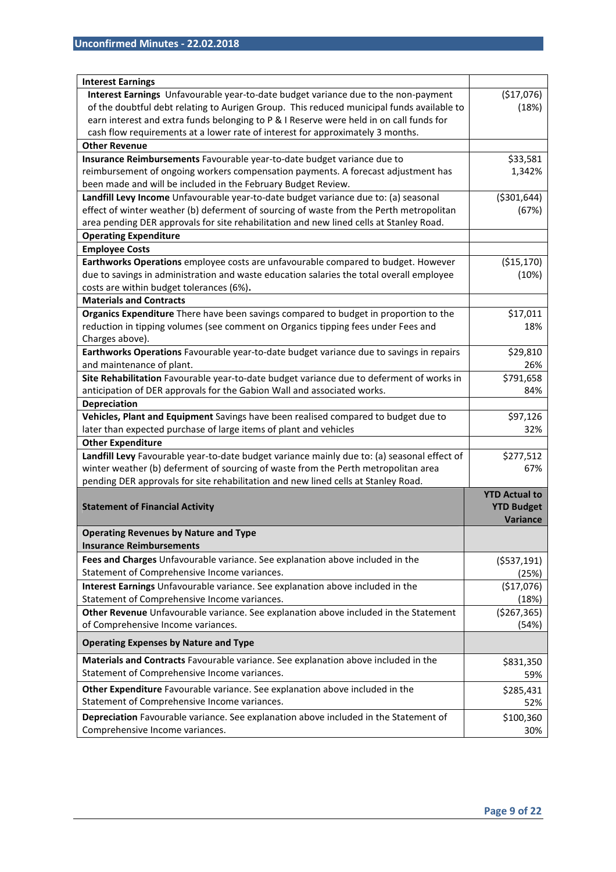| <b>Interest Earnings</b>                                                                                                             |                      |
|--------------------------------------------------------------------------------------------------------------------------------------|----------------------|
| Interest Earnings Unfavourable year-to-date budget variance due to the non-payment                                                   | (\$17,076)           |
| of the doubtful debt relating to Aurigen Group. This reduced municipal funds available to                                            | (18%)                |
| earn interest and extra funds belonging to P & I Reserve were held in on call funds for                                              |                      |
| cash flow requirements at a lower rate of interest for approximately 3 months.                                                       |                      |
| <b>Other Revenue</b>                                                                                                                 |                      |
| Insurance Reimbursements Favourable year-to-date budget variance due to                                                              | \$33,581             |
| reimbursement of ongoing workers compensation payments. A forecast adjustment has                                                    | 1,342%               |
| been made and will be included in the February Budget Review.                                                                        |                      |
| Landfill Levy Income Unfavourable year-to-date budget variance due to: (a) seasonal                                                  | ( \$301, 644)        |
| effect of winter weather (b) deferment of sourcing of waste from the Perth metropolitan                                              | (67%)                |
| area pending DER approvals for site rehabilitation and new lined cells at Stanley Road.                                              |                      |
| <b>Operating Expenditure</b>                                                                                                         |                      |
| <b>Employee Costs</b>                                                                                                                |                      |
| Earthworks Operations employee costs are unfavourable compared to budget. However                                                    | ( \$15, 170)         |
| due to savings in administration and waste education salaries the total overall employee                                             | (10%)                |
| costs are within budget tolerances (6%).                                                                                             |                      |
| <b>Materials and Contracts</b>                                                                                                       |                      |
| Organics Expenditure There have been savings compared to budget in proportion to the                                                 | \$17,011             |
| reduction in tipping volumes (see comment on Organics tipping fees under Fees and                                                    | 18%                  |
| Charges above).                                                                                                                      |                      |
| Earthworks Operations Favourable year-to-date budget variance due to savings in repairs                                              | \$29,810             |
| and maintenance of plant.                                                                                                            | 26%                  |
| Site Rehabilitation Favourable year-to-date budget variance due to deferment of works in                                             | \$791,658            |
| anticipation of DER approvals for the Gabion Wall and associated works.                                                              | 84%                  |
| <b>Depreciation</b>                                                                                                                  |                      |
| Vehicles, Plant and Equipment Savings have been realised compared to budget due to                                                   | \$97,126             |
| later than expected purchase of large items of plant and vehicles                                                                    | 32%                  |
| <b>Other Expenditure</b>                                                                                                             |                      |
| Landfill Levy Favourable year-to-date budget variance mainly due to: (a) seasonal effect of                                          | \$277,512            |
| winter weather (b) deferment of sourcing of waste from the Perth metropolitan area                                                   | 67%                  |
| pending DER approvals for site rehabilitation and new lined cells at Stanley Road.                                                   |                      |
|                                                                                                                                      | <b>YTD Actual to</b> |
| <b>Statement of Financial Activity</b>                                                                                               | <b>YTD Budget</b>    |
|                                                                                                                                      | Variance             |
| <b>Operating Revenues by Nature and Type</b>                                                                                         |                      |
| <b>Insurance Reimbursements</b>                                                                                                      |                      |
| Fees and Charges Unfavourable variance. See explanation above included in the                                                        | ( \$537,191)         |
| Statement of Comprehensive Income variances.                                                                                         | (25%)                |
| Interest Earnings Unfavourable variance. See explanation above included in the                                                       | (\$17,076)           |
| Statement of Comprehensive Income variances.                                                                                         | (18%)                |
| Other Revenue Unfavourable variance. See explanation above included in the Statement                                                 | ( \$267, 365)        |
| of Comprehensive Income variances.                                                                                                   | (54%)                |
| <b>Operating Expenses by Nature and Type</b>                                                                                         |                      |
| Materials and Contracts Favourable variance. See explanation above included in the                                                   | \$831,350            |
| Statement of Comprehensive Income variances.                                                                                         | 59%                  |
| Other Expenditure Favourable variance. See explanation above included in the                                                         | \$285,431            |
|                                                                                                                                      | 52%                  |
|                                                                                                                                      |                      |
| Statement of Comprehensive Income variances.<br>Depreciation Favourable variance. See explanation above included in the Statement of | \$100,360            |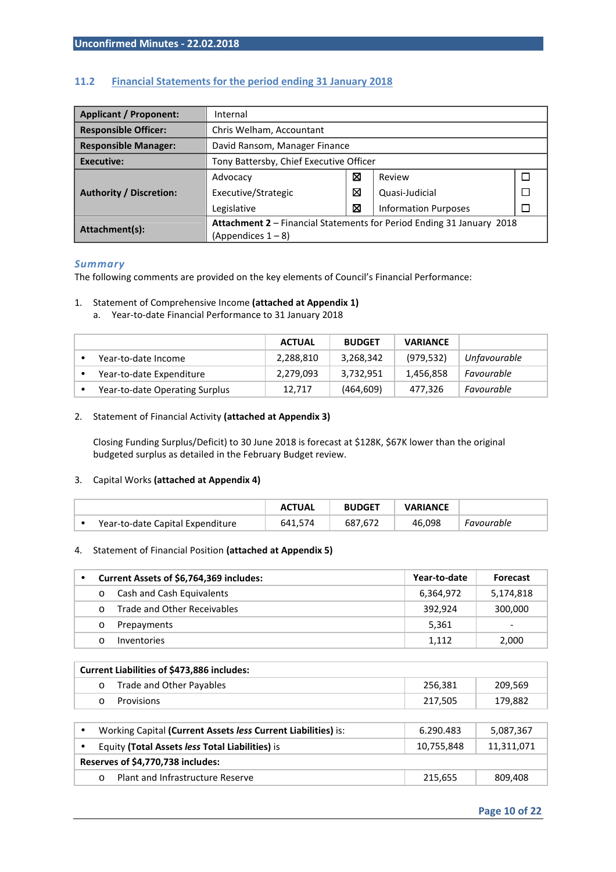| <b>Applicant / Proponent:</b>  | Internal                                                              |   |                             |  |  |
|--------------------------------|-----------------------------------------------------------------------|---|-----------------------------|--|--|
| <b>Responsible Officer:</b>    | Chris Welham, Accountant                                              |   |                             |  |  |
| <b>Responsible Manager:</b>    | David Ransom, Manager Finance                                         |   |                             |  |  |
| Executive:                     | Tony Battersby, Chief Executive Officer                               |   |                             |  |  |
|                                | Advocacy                                                              | ⊠ | Review                      |  |  |
| <b>Authority / Discretion:</b> | Executive/Strategic                                                   | ⊠ | Quasi-Judicial              |  |  |
|                                | Legislative                                                           | ⊠ | <b>Information Purposes</b> |  |  |
| Attachment(s):                 | Attachment 2 - Financial Statements for Period Ending 31 January 2018 |   |                             |  |  |
|                                | $(A$ ppendices $1 - 8$                                                |   |                             |  |  |

#### **11.2 Financial Statements for the period ending 31 January 2018**

#### *Summary*

The following comments are provided on the key elements of Council's Financial Performance:

#### 1. Statement of Comprehensive Income **(attached at Appendix 1)**

a. Year-to-date Financial Performance to 31 January 2018

|                                | <b>ACTUAL</b> | <b>BUDGET</b> | <b>VARIANCE</b> |              |
|--------------------------------|---------------|---------------|-----------------|--------------|
| Year-to-date Income            | 2,288,810     | 3,268,342     | (979, 532)      | Unfavourable |
| Year-to-date Expenditure       | 2,279,093     | 3,732,951     | 1,456,858       | Favourable   |
| Year-to-date Operating Surplus | 12,717        | (464, 609)    | 477,326         | Favourable   |

#### 2. Statement of Financial Activity **(attached at Appendix 3)**

Closing Funding Surplus/Deficit) to 30 June 2018 is forecast at \$128K, \$67K lower than the original budgeted surplus as detailed in the February Budget review.

#### 3. Capital Works **(attached at Appendix 4)**

|                                  | <b>ACTUAL</b> | <b>BUDGET</b> | <b>VARIANCE</b> |            |
|----------------------------------|---------------|---------------|-----------------|------------|
| Year-to-date Capital Expenditure | 641.574       | 687,672       | 46.098          | Favourable |

#### 4. Statement of Financial Position **(attached at Appendix 5)**

|         | Current Assets of \$6,764,369 includes: | Year-to-date | <b>Forecast</b> |
|---------|-----------------------------------------|--------------|-----------------|
| $\circ$ | Cash and Cash Equivalents               | 6,364,972    | 5,174,818       |
| $\cap$  | Trade and Other Receivables             | 392.924      | 300,000         |
| $\circ$ | Prepayments                             | 5.361        |                 |
|         | Inventories                             | 1.112        | 2,000           |

|        | Current Liabilities of \$473,886 includes: |         |         |
|--------|--------------------------------------------|---------|---------|
|        | Trade and Other Payables                   | 256.381 | 209.569 |
| $\cap$ | Provisions                                 | 217.505 | 179.882 |

| Working Capital (Current Assets less Current Liabilities) is: | 6.290.483  | 5,087,367  |  |  |
|---------------------------------------------------------------|------------|------------|--|--|
| Equity (Total Assets less Total Liabilities) is               | 10.755.848 | 11,311,071 |  |  |
| Reserves of \$4,770,738 includes:                             |            |            |  |  |
| Plant and Infrastructure Reserve                              | 215.655    | 809,408    |  |  |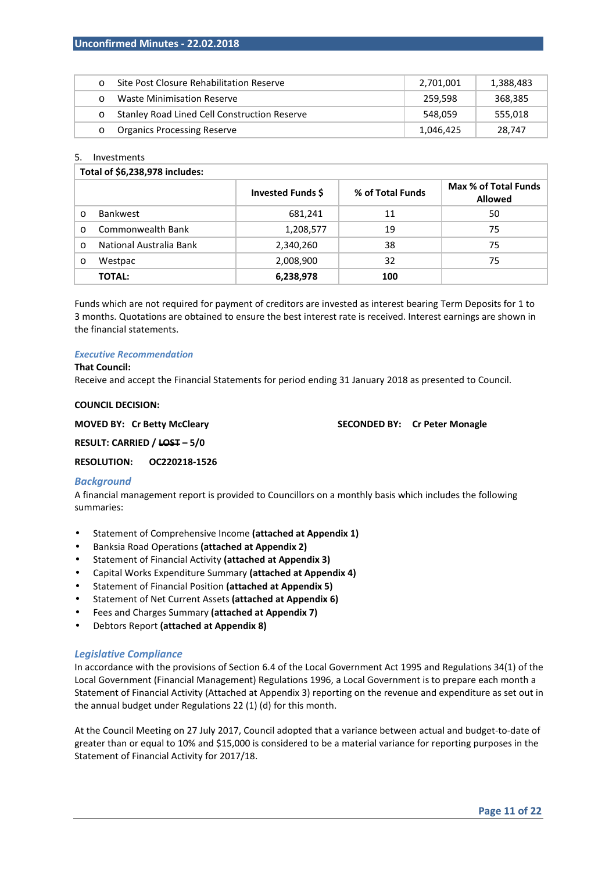|         | Site Post Closure Rehabilitation Reserve            | 2.701.001 | 1,388,483 |
|---------|-----------------------------------------------------|-----------|-----------|
|         | Waste Minimisation Reserve                          | 259.598   | 368,385   |
| $\circ$ | <b>Stanley Road Lined Cell Construction Reserve</b> | 548.059   | 555.018   |
|         | <b>Organics Processing Reserve</b>                  | 1,046,425 | 28.747    |

#### 5. Investments

|          | Total of \$6,238,978 includes: |                   |                  |                                        |  |  |
|----------|--------------------------------|-------------------|------------------|----------------------------------------|--|--|
|          |                                | Invested Funds \$ | % of Total Funds | Max % of Total Funds<br><b>Allowed</b> |  |  |
| $\Omega$ | <b>Bankwest</b>                | 681,241           | 11               | 50                                     |  |  |
| $\Omega$ | Commonwealth Bank              | 1,208,577         | 19               | 75                                     |  |  |
| $\Omega$ | National Australia Bank        | 2,340,260         | 38               | 75                                     |  |  |
| $\circ$  | Westpac                        | 2,008,900         | 32               | 75                                     |  |  |
|          | <b>TOTAL:</b>                  | 6,238,978         | 100              |                                        |  |  |

Funds which are not required for payment of creditors are invested as interest bearing Term Deposits for 1 to 3 months. Quotations are obtained to ensure the best interest rate is received. Interest earnings are shown in the financial statements.

#### *Executive Recommendation*

#### **That Council:**

Receive and accept the Financial Statements for period ending 31 January 2018 as presented to Council.

#### **COUNCIL DECISION:**

**MOVED BY: Cr Betty McCleary SECONDED BY: Cr Peter Monagle** 

**RESULT: CARRIED / LOST – 5/0** 

**RESOLUTION: OC220218-1526** 

#### *Background*

A financial management report is provided to Councillors on a monthly basis which includes the following summaries:

- Statement of Comprehensive Income **(attached at Appendix 1)**
- Banksia Road Operations **(attached at Appendix 2)**
- Statement of Financial Activity **(attached at Appendix 3)**
- Capital Works Expenditure Summary **(attached at Appendix 4)**
- Statement of Financial Position **(attached at Appendix 5)**
- Statement of Net Current Assets **(attached at Appendix 6)**
- Fees and Charges Summary **(attached at Appendix 7)**
- Debtors Report **(attached at Appendix 8)**

#### *Legislative Compliance*

In accordance with the provisions of Section 6.4 of the Local Government Act 1995 and Regulations 34(1) of the Local Government (Financial Management) Regulations 1996, a Local Government is to prepare each month a Statement of Financial Activity (Attached at Appendix 3) reporting on the revenue and expenditure as set out in the annual budget under Regulations 22 (1) (d) for this month.

At the Council Meeting on 27 July 2017, Council adopted that a variance between actual and budget-to-date of greater than or equal to 10% and \$15,000 is considered to be a material variance for reporting purposes in the Statement of Financial Activity for 2017/18.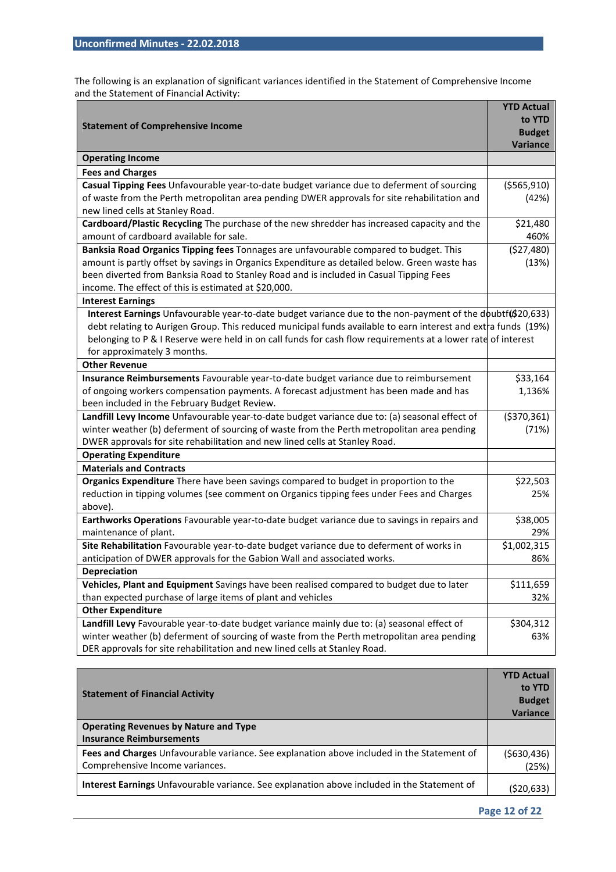The following is an explanation of significant variances identified in the Statement of Comprehensive Income and the Statement of Financial Activity:

|                                                                                                                                  | <b>YTD Actual</b> |
|----------------------------------------------------------------------------------------------------------------------------------|-------------------|
|                                                                                                                                  | to YTD            |
| <b>Statement of Comprehensive Income</b>                                                                                         | <b>Budget</b>     |
|                                                                                                                                  | Variance          |
| <b>Operating Income</b>                                                                                                          |                   |
| <b>Fees and Charges</b>                                                                                                          |                   |
| Casual Tipping Fees Unfavourable year-to-date budget variance due to deferment of sourcing                                       | ( \$565, 910)     |
| of waste from the Perth metropolitan area pending DWER approvals for site rehabilitation and<br>new lined cells at Stanley Road. | (42%)             |
| Cardboard/Plastic Recycling The purchase of the new shredder has increased capacity and the                                      | \$21,480          |
| amount of cardboard available for sale.                                                                                          | 460%              |
| Banksia Road Organics Tipping fees Tonnages are unfavourable compared to budget. This                                            | (527, 480)        |
| amount is partly offset by savings in Organics Expenditure as detailed below. Green waste has                                    | (13%)             |
| been diverted from Banksia Road to Stanley Road and is included in Casual Tipping Fees                                           |                   |
| income. The effect of this is estimated at \$20,000.                                                                             |                   |
| <b>Interest Earnings</b>                                                                                                         |                   |
| Interest Earnings Unfavourable year-to-date budget variance due to the non-payment of the doubtf(\$20,633)                       |                   |
| debt relating to Aurigen Group. This reduced municipal funds available to earn interest and extra funds (19%)                    |                   |
| belonging to P & I Reserve were held in on call funds for cash flow requirements at a lower rate of interest                     |                   |
| for approximately 3 months.                                                                                                      |                   |
| <b>Other Revenue</b>                                                                                                             |                   |
| Insurance Reimbursements Favourable year-to-date budget variance due to reimbursement                                            | \$33,164          |
| of ongoing workers compensation payments. A forecast adjustment has been made and has                                            | 1,136%            |
| been included in the February Budget Review.                                                                                     |                   |
| Landfill Levy Income Unfavourable year-to-date budget variance due to: (a) seasonal effect of                                    | ( \$370, 361)     |
| winter weather (b) deferment of sourcing of waste from the Perth metropolitan area pending                                       | (71%)             |
| DWER approvals for site rehabilitation and new lined cells at Stanley Road.                                                      |                   |
| <b>Operating Expenditure</b>                                                                                                     |                   |
| <b>Materials and Contracts</b>                                                                                                   |                   |
| Organics Expenditure There have been savings compared to budget in proportion to the                                             | \$22,503          |
| reduction in tipping volumes (see comment on Organics tipping fees under Fees and Charges                                        | 25%               |
| above).                                                                                                                          |                   |
| Earthworks Operations Favourable year-to-date budget variance due to savings in repairs and                                      | \$38,005          |
| maintenance of plant.                                                                                                            | 29%               |
| Site Rehabilitation Favourable year-to-date budget variance due to deferment of works in                                         | \$1,002,315       |
| anticipation of DWER approvals for the Gabion Wall and associated works.                                                         | 86%               |
| Depreciation                                                                                                                     |                   |
| Vehicles, Plant and Equipment Savings have been realised compared to budget due to later                                         | \$111,659         |
| than expected purchase of large items of plant and vehicles                                                                      | 32%               |
| <b>Other Expenditure</b>                                                                                                         |                   |
| Landfill Levy Favourable year-to-date budget variance mainly due to: (a) seasonal effect of                                      | \$304,312         |
| winter weather (b) deferment of sourcing of waste from the Perth metropolitan area pending                                       | 63%               |
| DER approvals for site rehabilitation and new lined cells at Stanley Road.                                                       |                   |

| <b>Statement of Financial Activity</b>                                                      |                 |
|---------------------------------------------------------------------------------------------|-----------------|
|                                                                                             |                 |
|                                                                                             | <b>Variance</b> |
| <b>Operating Revenues by Nature and Type</b>                                                |                 |
| <b>Insurance Reimbursements</b>                                                             |                 |
| Fees and Charges Unfavourable variance. See explanation above included in the Statement of  | (5630, 436)     |
| Comprehensive Income variances.                                                             | (25%)           |
| Interest Earnings Unfavourable variance. See explanation above included in the Statement of | (\$20,633)      |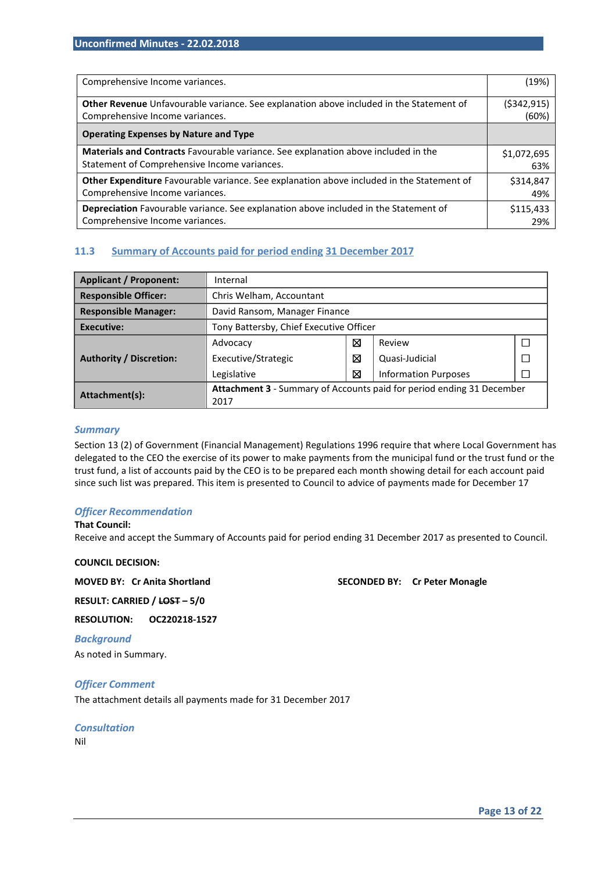| Comprehensive Income variances.                                                                | (19%)       |
|------------------------------------------------------------------------------------------------|-------------|
| <b>Other Revenue</b> Unfavourable variance. See explanation above included in the Statement of | (5342, 915) |
| Comprehensive Income variances.                                                                | (60%)       |
| <b>Operating Expenses by Nature and Type</b>                                                   |             |
| Materials and Contracts Favourable variance. See explanation above included in the             | \$1,072,695 |
| Statement of Comprehensive Income variances.                                                   | 63%         |
| Other Expenditure Favourable variance. See explanation above included in the Statement of      | \$314,847   |
| Comprehensive Income variances.                                                                | 49%         |
| Depreciation Favourable variance. See explanation above included in the Statement of           | \$115,433   |
| Comprehensive Income variances.                                                                | 29%         |

#### **11.3 Summary of Accounts paid for period ending 31 December 2017**

| <b>Applicant / Proponent:</b>  | Internal                                                              |                               |                             |  |  |
|--------------------------------|-----------------------------------------------------------------------|-------------------------------|-----------------------------|--|--|
| <b>Responsible Officer:</b>    | Chris Welham, Accountant                                              |                               |                             |  |  |
| <b>Responsible Manager:</b>    |                                                                       | David Ransom, Manager Finance |                             |  |  |
| Executive:                     | Tony Battersby, Chief Executive Officer                               |                               |                             |  |  |
|                                | Advocacy                                                              | ⊠                             | Review                      |  |  |
| <b>Authority / Discretion:</b> | Executive/Strategic                                                   | ⊠                             | Quasi-Judicial              |  |  |
|                                | Legislative                                                           | 図                             | <b>Information Purposes</b> |  |  |
| Attachment(s):                 | Attachment 3 - Summary of Accounts paid for period ending 31 December |                               |                             |  |  |
|                                | 2017                                                                  |                               |                             |  |  |

#### *Summary*

Section 13 (2) of Government (Financial Management) Regulations 1996 require that where Local Government has delegated to the CEO the exercise of its power to make payments from the municipal fund or the trust fund or the trust fund, a list of accounts paid by the CEO is to be prepared each month showing detail for each account paid since such list was prepared. This item is presented to Council to advice of payments made for December 17

#### *Officer Recommendation*

#### **That Council:**

Receive and accept the Summary of Accounts paid for period ending 31 December 2017 as presented to Council.

#### **COUNCIL DECISION:**

#### **MOVED BY: Cr Anita Shortland SECONDED BY: Cr Peter Monagle**

**RESULT: CARRIED / LOST – 5/0** 

**RESOLUTION: OC220218-1527** 

*Background*  As noted in Summary.

#### *Officer Comment*

The attachment details all payments made for 31 December 2017

*Consultation*  Nil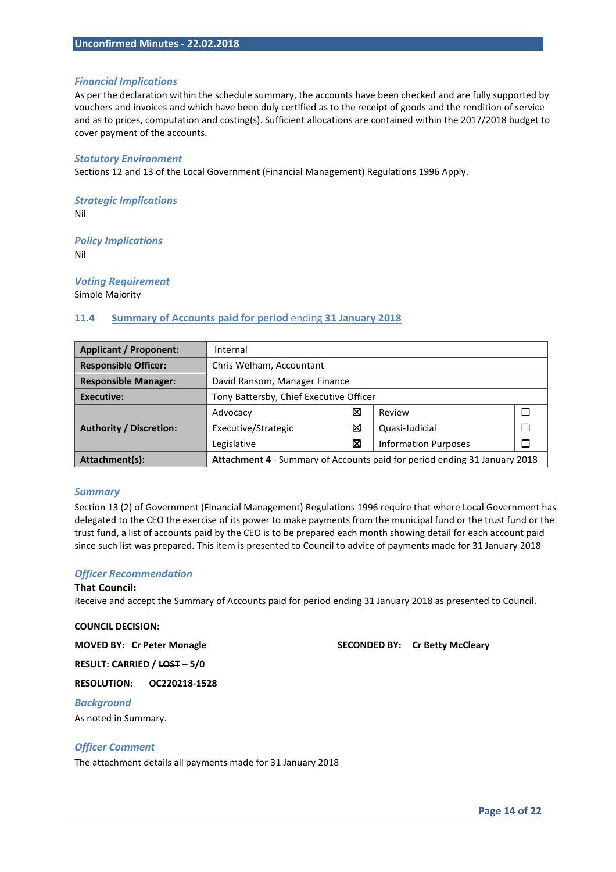#### *Financial Implications*

As per the declaration within the schedule summary, the accounts have been checked and are fully supported by vouchers and invoices and which have been duly certified as to the receipt of goods and the rendition of service and as to prices, computation and costing(s). Sufficient allocations are contained within the 2017/2018 budget to cover payment of the accounts.

#### *Statutory Environment*

Sections 12 and 13 of the Local Government (Financial Management) Regulations 1996 Apply.

*Strategic Implications*  Nil

*Policy Implications*  Nil

*Voting Requirement* 

Simple Majority

#### **11.4 Summary of Accounts paid for period** ending **31 January 2018**

| <b>Applicant / Proponent:</b>  | Internal                                                                  |   |                             |  |
|--------------------------------|---------------------------------------------------------------------------|---|-----------------------------|--|
| <b>Responsible Officer:</b>    | Chris Welham, Accountant                                                  |   |                             |  |
| <b>Responsible Manager:</b>    | David Ransom, Manager Finance                                             |   |                             |  |
| <b>Executive:</b>              | Tony Battersby, Chief Executive Officer                                   |   |                             |  |
|                                | Advocacy                                                                  | ⊠ | Review                      |  |
| <b>Authority / Discretion:</b> | Executive/Strategic                                                       | ⊠ | Quasi-Judicial              |  |
|                                | Legislative                                                               | ⊠ | <b>Information Purposes</b> |  |
| Attachment(s):                 | Attachment 4 - Summary of Accounts paid for period ending 31 January 2018 |   |                             |  |

#### *Summary*

Section 13 (2) of Government (Financial Management) Regulations 1996 require that where Local Government has delegated to the CEO the exercise of its power to make payments from the municipal fund or the trust fund or the trust fund, a list of accounts paid by the CEO is to be prepared each month showing detail for each account paid since such list was prepared. This item is presented to Council to advice of payments made for 31 January 2018

#### *Officer Recommendation*

#### **That Council:**

Receive and accept the Summary of Accounts paid for period ending 31 January 2018 as presented to Council.

#### **COUNCIL DECISION:**

**MOVED BY: Cr Peter Monagle SECONDED BY: Cr Betty McCleary** 

**RESULT: CARRIED / LOST – 5/0** 

**RESOLUTION: OC220218-1528** 

#### *Background*

As noted in Summary.

#### *Officer Comment*

The attachment details all payments made for 31 January 2018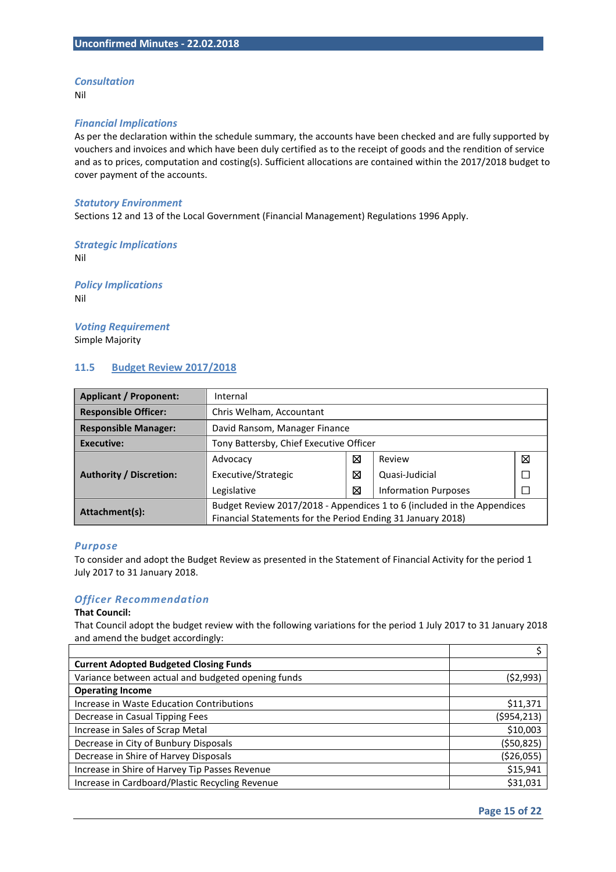#### *Consultation*

Nil

#### *Financial Implications*

As per the declaration within the schedule summary, the accounts have been checked and are fully supported by vouchers and invoices and which have been duly certified as to the receipt of goods and the rendition of service and as to prices, computation and costing(s). Sufficient allocations are contained within the 2017/2018 budget to cover payment of the accounts.

#### *Statutory Environment*

Sections 12 and 13 of the Local Government (Financial Management) Regulations 1996 Apply.

#### *Strategic Implications*  Nil

*Policy Implications* 

Nil

#### *Voting Requirement*  Simple Majority

### **11.5 Budget Review 2017/2018**

| <b>Applicant / Proponent:</b>  | Internal                                                                |   |                             |   |  |
|--------------------------------|-------------------------------------------------------------------------|---|-----------------------------|---|--|
| <b>Responsible Officer:</b>    | Chris Welham, Accountant                                                |   |                             |   |  |
| <b>Responsible Manager:</b>    | David Ransom, Manager Finance                                           |   |                             |   |  |
| Executive:                     | Tony Battersby, Chief Executive Officer                                 |   |                             |   |  |
|                                | Advocacy                                                                | ⊠ | Review                      | ⊠ |  |
| <b>Authority / Discretion:</b> | Executive/Strategic                                                     | ⊠ | Quasi-Judicial              |   |  |
|                                | Legislative                                                             | ⊠ | <b>Information Purposes</b> |   |  |
| Attachment(s):                 | Budget Review 2017/2018 - Appendices 1 to 6 (included in the Appendices |   |                             |   |  |
|                                | Financial Statements for the Period Ending 31 January 2018)             |   |                             |   |  |

#### *Purpose*

To consider and adopt the Budget Review as presented in the Statement of Financial Activity for the period 1 July 2017 to 31 January 2018.

#### *Officer Recommendation*

#### **That Council:**

That Council adopt the budget review with the following variations for the period 1 July 2017 to 31 January 2018 and amend the budget accordingly:

| <b>Current Adopted Budgeted Closing Funds</b>      |              |
|----------------------------------------------------|--------------|
| Variance between actual and budgeted opening funds | (52,993)     |
| <b>Operating Income</b>                            |              |
| Increase in Waste Education Contributions          | \$11,371     |
| Decrease in Casual Tipping Fees                    | (\$954,213)  |
| Increase in Sales of Scrap Metal                   | \$10,003     |
| Decrease in City of Bunbury Disposals              | ( \$50, 825) |
| Decrease in Shire of Harvey Disposals              | ( \$26,055)  |
| Increase in Shire of Harvey Tip Passes Revenue     | \$15,941     |
| Increase in Cardboard/Plastic Recycling Revenue    | \$31,031     |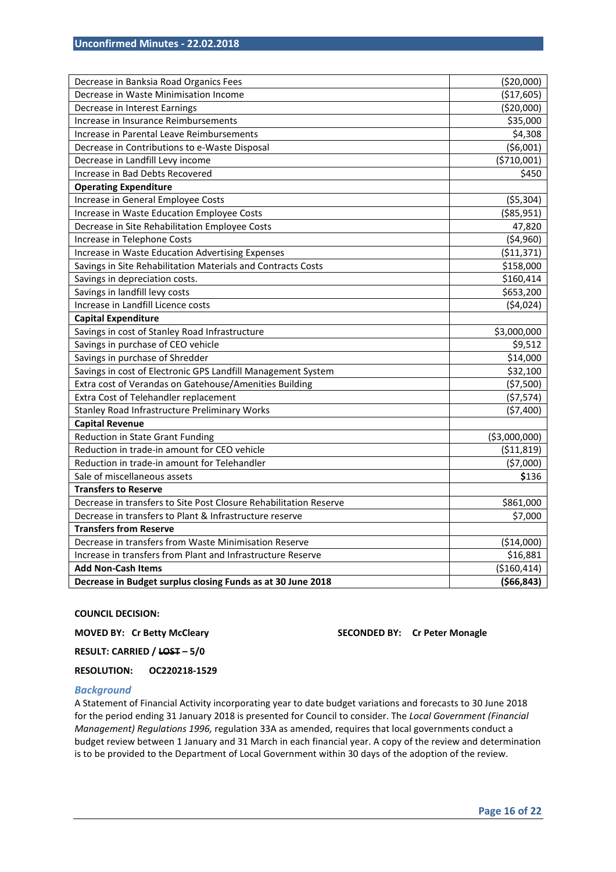| Decrease in Banksia Road Organics Fees                            | (\$20,000)     |
|-------------------------------------------------------------------|----------------|
| Decrease in Waste Minimisation Income                             | (\$17,605)     |
| Decrease in Interest Earnings                                     | (\$20,000)     |
| Increase in Insurance Reimbursements                              | \$35,000       |
| Increase in Parental Leave Reimbursements                         | \$4,308        |
| Decrease in Contributions to e-Waste Disposal                     | (56,001)       |
| Decrease in Landfill Levy income                                  | ( \$710,001)   |
| Increase in Bad Debts Recovered                                   | \$450          |
| <b>Operating Expenditure</b>                                      |                |
| Increase in General Employee Costs                                | (55, 304)      |
| Increase in Waste Education Employee Costs                        | ( \$85, 951)   |
| Decrease in Site Rehabilitation Employee Costs                    | 47,820         |
| Increase in Telephone Costs                                       | (54,960)       |
| Increase in Waste Education Advertising Expenses                  | (511, 371)     |
| Savings in Site Rehabilitation Materials and Contracts Costs      | \$158,000      |
| Savings in depreciation costs.                                    | \$160,414      |
| Savings in landfill levy costs                                    | \$653,200      |
| Increase in Landfill Licence costs                                | (54,024)       |
| <b>Capital Expenditure</b>                                        |                |
| Savings in cost of Stanley Road Infrastructure                    | \$3,000,000    |
| Savings in purchase of CEO vehicle                                | \$9,512        |
| Savings in purchase of Shredder                                   | \$14,000       |
| Savings in cost of Electronic GPS Landfill Management System      | \$32,100       |
| Extra cost of Verandas on Gatehouse/Amenities Building            | (57,500)       |
| Extra Cost of Telehandler replacement                             | (57, 574)      |
| Stanley Road Infrastructure Preliminary Works                     | (57, 400)      |
| <b>Capital Revenue</b>                                            |                |
| Reduction in State Grant Funding                                  | ( \$3,000,000) |
| Reduction in trade-in amount for CEO vehicle                      | ( \$11,819)    |
| Reduction in trade-in amount for Telehandler                      | (57,000)       |
| Sale of miscellaneous assets                                      | \$136          |
| <b>Transfers to Reserve</b>                                       |                |
| Decrease in transfers to Site Post Closure Rehabilitation Reserve | \$861,000      |
| Decrease in transfers to Plant & Infrastructure reserve           | \$7,000        |
| <b>Transfers from Reserve</b>                                     |                |
| Decrease in transfers from Waste Minimisation Reserve             | (\$14,000)     |
| Increase in transfers from Plant and Infrastructure Reserve       | \$16,881       |
| <b>Add Non-Cash Items</b>                                         | ( \$160, 414)  |
| Decrease in Budget surplus closing Funds as at 30 June 2018       | ( \$66, 843)   |

#### **COUNCIL DECISION:**

**MOVED BY: Cr Betty McCleary SECONDED BY: Cr Peter Monagle 32 SECONDED BY: Cr Peter Monagle** 

**RESULT: CARRIED / LOST – 5/0** 

**RESOLUTION: OC220218-1529** 

#### *Background*

A Statement of Financial Activity incorporating year to date budget variations and forecasts to 30 June 2018 for the period ending 31 January 2018 is presented for Council to consider. The *Local Government (Financial Management) Regulations 1996,* regulation 33A as amended, requires that local governments conduct a budget review between 1 January and 31 March in each financial year. A copy of the review and determination is to be provided to the Department of Local Government within 30 days of the adoption of the review.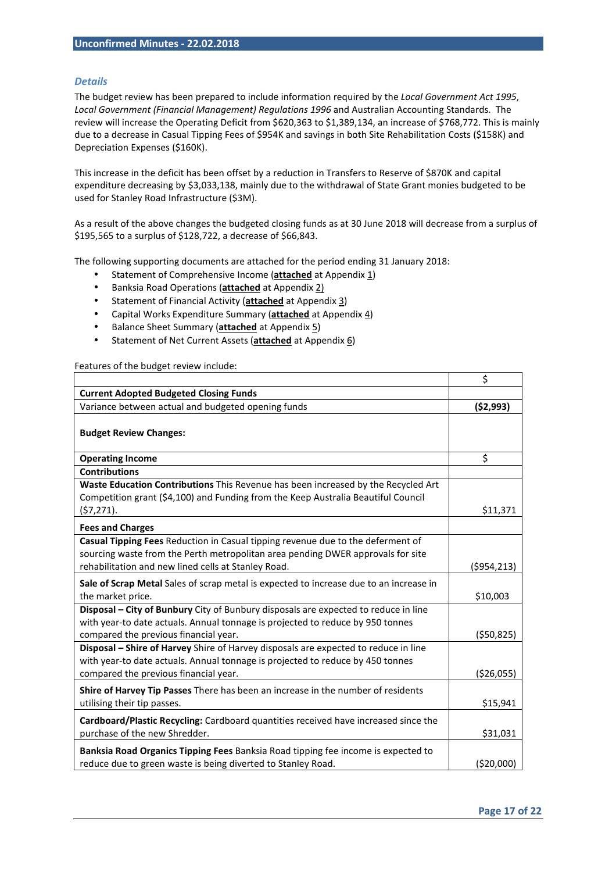#### *Details*

The budget review has been prepared to include information required by the *Local Government Act 1995*, Local Government (Financial Management) Regulations 1996 and Australian Accounting Standards. The review will increase the Operating Deficit from \$620,363 to \$1,389,134, an increase of \$768,772. This is mainly due to a decrease in Casual Tipping Fees of \$954K and savings in both Site Rehabilitation Costs (\$158K) and Depreciation Expenses (\$160K).

This increase in the deficit has been offset by a reduction in Transfers to Reserve of \$870K and capital expenditure decreasing by \$3,033,138, mainly due to the withdrawal of State Grant monies budgeted to be used for Stanley Road Infrastructure (\$3M).

As a result of the above changes the budgeted closing funds as at 30 June 2018 will decrease from a surplus of \$195,565 to a surplus of \$128,722, a decrease of \$66,843.

The following supporting documents are attached for the period ending 31 January 2018:

- Statement of Comprehensive Income (**attached** at Appendix 1)
- Banksia Road Operations (**attached** at Appendix 2)
- Statement of Financial Activity (**attached** at Appendix 3)
- Capital Works Expenditure Summary (**attached** at Appendix 4)
- Balance Sheet Summary (**attached** at Appendix 5)
- Statement of Net Current Assets (**attached** at Appendix 6)

Features of the budget review include:

|                                                                                                                                                                                                                           | \$          |
|---------------------------------------------------------------------------------------------------------------------------------------------------------------------------------------------------------------------------|-------------|
| <b>Current Adopted Budgeted Closing Funds</b>                                                                                                                                                                             |             |
| Variance between actual and budgeted opening funds                                                                                                                                                                        | (52,993)    |
| <b>Budget Review Changes:</b>                                                                                                                                                                                             |             |
| <b>Operating Income</b>                                                                                                                                                                                                   | \$          |
| <b>Contributions</b>                                                                                                                                                                                                      |             |
| Waste Education Contributions This Revenue has been increased by the Recycled Art<br>Competition grant (\$4,100) and Funding from the Keep Australia Beautiful Council<br>(57, 271).                                      | \$11,371    |
|                                                                                                                                                                                                                           |             |
| <b>Fees and Charges</b>                                                                                                                                                                                                   |             |
| Casual Tipping Fees Reduction in Casual tipping revenue due to the deferment of<br>sourcing waste from the Perth metropolitan area pending DWER approvals for site<br>rehabilitation and new lined cells at Stanley Road. | (5954, 213) |
| Sale of Scrap Metal Sales of scrap metal is expected to increase due to an increase in<br>the market price.                                                                                                               | \$10,003    |
| Disposal - City of Bunbury City of Bunbury disposals are expected to reduce in line<br>with year-to date actuals. Annual tonnage is projected to reduce by 950 tonnes<br>compared the previous financial year.            | (550, 825)  |
| Disposal - Shire of Harvey Shire of Harvey disposals are expected to reduce in line<br>with year-to date actuals. Annual tonnage is projected to reduce by 450 tonnes<br>compared the previous financial year.            | ( \$26,055) |
| Shire of Harvey Tip Passes There has been an increase in the number of residents<br>utilising their tip passes.                                                                                                           | \$15,941    |
| Cardboard/Plastic Recycling: Cardboard quantities received have increased since the<br>purchase of the new Shredder.                                                                                                      | \$31,031    |
| Banksia Road Organics Tipping Fees Banksia Road tipping fee income is expected to<br>reduce due to green waste is being diverted to Stanley Road.                                                                         | ( \$20,000) |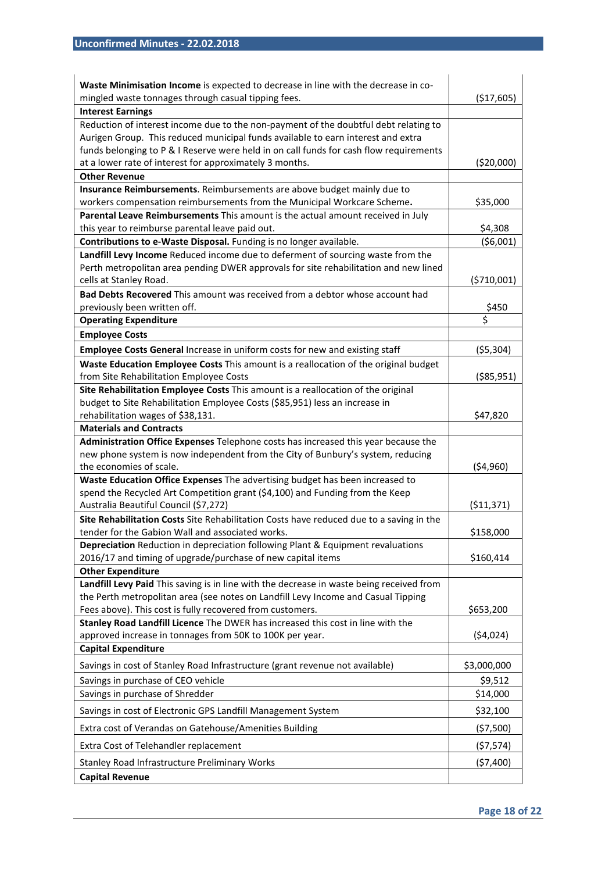| Waste Minimisation Income is expected to decrease in line with the decrease in co-<br>mingled waste tonnages through casual tipping fees.   | (\$17,605)  |
|---------------------------------------------------------------------------------------------------------------------------------------------|-------------|
| <b>Interest Earnings</b>                                                                                                                    |             |
| Reduction of interest income due to the non-payment of the doubtful debt relating to                                                        |             |
| Aurigen Group. This reduced municipal funds available to earn interest and extra                                                            |             |
| funds belonging to P & I Reserve were held in on call funds for cash flow requirements                                                      |             |
| at a lower rate of interest for approximately 3 months.                                                                                     | (\$20,000)  |
| <b>Other Revenue</b>                                                                                                                        |             |
| Insurance Reimbursements. Reimbursements are above budget mainly due to                                                                     |             |
| workers compensation reimbursements from the Municipal Workcare Scheme.                                                                     | \$35,000    |
| Parental Leave Reimbursements This amount is the actual amount received in July                                                             |             |
| this year to reimburse parental leave paid out.                                                                                             | \$4,308     |
| Contributions to e-Waste Disposal. Funding is no longer available.                                                                          | ( \$6,001)  |
| Landfill Levy Income Reduced income due to deferment of sourcing waste from the                                                             |             |
| Perth metropolitan area pending DWER approvals for site rehabilitation and new lined                                                        |             |
| cells at Stanley Road.                                                                                                                      | (5710,001)  |
| Bad Debts Recovered This amount was received from a debtor whose account had                                                                |             |
| previously been written off.                                                                                                                | \$450       |
| <b>Operating Expenditure</b>                                                                                                                | \$          |
| <b>Employee Costs</b>                                                                                                                       |             |
| Employee Costs General Increase in uniform costs for new and existing staff                                                                 | ( \$5,304)  |
| Waste Education Employee Costs This amount is a reallocation of the original budget                                                         |             |
| from Site Rehabilitation Employee Costs                                                                                                     | (\$85,951)  |
| Site Rehabilitation Employee Costs This amount is a reallocation of the original                                                            |             |
| budget to Site Rehabilitation Employee Costs (\$85,951) less an increase in                                                                 |             |
| rehabilitation wages of \$38,131.                                                                                                           | \$47,820    |
| <b>Materials and Contracts</b>                                                                                                              |             |
| Administration Office Expenses Telephone costs has increased this year because the                                                          |             |
| new phone system is now independent from the City of Bunbury's system, reducing                                                             |             |
| the economies of scale.                                                                                                                     | (\$4,960)   |
| Waste Education Office Expenses The advertising budget has been increased to                                                                |             |
| spend the Recycled Art Competition grant (\$4,100) and Funding from the Keep                                                                |             |
| Australia Beautiful Council (\$7,272)                                                                                                       | (511, 371)  |
| Site Rehabilitation Costs Site Rehabilitation Costs have reduced due to a saving in the<br>tender for the Gabion Wall and associated works. | \$158,000   |
| Depreciation Reduction in depreciation following Plant & Equipment revaluations                                                             |             |
| 2016/17 and timing of upgrade/purchase of new capital items                                                                                 | \$160,414   |
| <b>Other Expenditure</b>                                                                                                                    |             |
| Landfill Levy Paid This saving is in line with the decrease in waste being received from                                                    |             |
| the Perth metropolitan area (see notes on Landfill Levy Income and Casual Tipping                                                           |             |
| Fees above). This cost is fully recovered from customers.                                                                                   | \$653,200   |
| Stanley Road Landfill Licence The DWER has increased this cost in line with the                                                             |             |
| approved increase in tonnages from 50K to 100K per year.                                                                                    | (54, 024)   |
| <b>Capital Expenditure</b>                                                                                                                  |             |
| Savings in cost of Stanley Road Infrastructure (grant revenue not available)                                                                | \$3,000,000 |
| Savings in purchase of CEO vehicle                                                                                                          | \$9,512     |
| Savings in purchase of Shredder                                                                                                             | \$14,000    |
|                                                                                                                                             |             |
| Savings in cost of Electronic GPS Landfill Management System                                                                                | \$32,100    |
| Extra cost of Verandas on Gatehouse/Amenities Building                                                                                      | (\$7,500)   |
| Extra Cost of Telehandler replacement                                                                                                       | (\$7,574)   |
| Stanley Road Infrastructure Preliminary Works                                                                                               | (57, 400)   |
| <b>Capital Revenue</b>                                                                                                                      |             |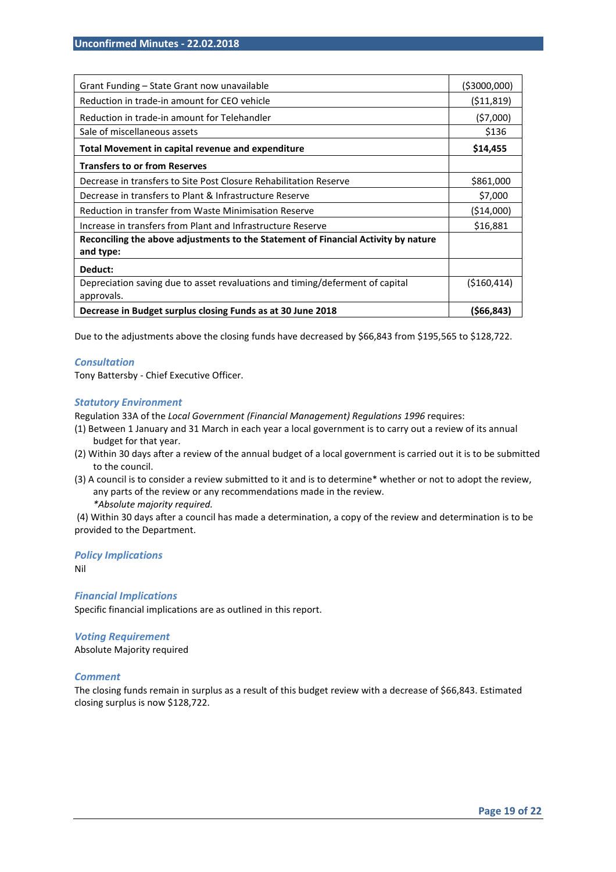| Grant Funding - State Grant now unavailable                                                 | ( \$3000,000) |
|---------------------------------------------------------------------------------------------|---------------|
| Reduction in trade-in amount for CEO vehicle                                                | (511, 819)    |
| Reduction in trade-in amount for Telehandler                                                | (57,000)      |
| Sale of miscellaneous assets                                                                | \$136         |
| Total Movement in capital revenue and expenditure                                           | \$14,455      |
| <b>Transfers to or from Reserves</b>                                                        |               |
| Decrease in transfers to Site Post Closure Rehabilitation Reserve                           | \$861,000     |
| Decrease in transfers to Plant & Infrastructure Reserve                                     | \$7,000       |
| Reduction in transfer from Waste Minimisation Reserve                                       | (\$14,000)    |
| Increase in transfers from Plant and Infrastructure Reserve                                 | \$16,881      |
| Reconciling the above adjustments to the Statement of Financial Activity by nature          |               |
| and type:                                                                                   |               |
| Deduct:                                                                                     |               |
| Depreciation saving due to asset revaluations and timing/deferment of capital<br>approvals. | (5160, 414)   |
| Decrease in Budget surplus closing Funds as at 30 June 2018                                 | (\$66,843)    |

Due to the adjustments above the closing funds have decreased by \$66,843 from \$195,565 to \$128,722.

#### *Consultation*

Tony Battersby - Chief Executive Officer.

#### *Statutory Environment*

Regulation 33A of the *Local Government (Financial Management) Regulations 1996* requires:

- (1) Between 1 January and 31 March in each year a local government is to carry out a review of its annual budget for that year.
- (2) Within 30 days after a review of the annual budget of a local government is carried out it is to be submitted to the council.
- (3) A council is to consider a review submitted to it and is to determine\* whether or not to adopt the review, any parts of the review or any recommendations made in the review. *\*Absolute majority required.*

(4) Within 30 days after a council has made a determination, a copy of the review and determination is to be provided to the Department.

#### *Policy Implications*

Nil

#### *Financial Implications*  Specific financial implications are as outlined in this report.

#### *Voting Requirement*

Absolute Majority required

#### *Comment*

The closing funds remain in surplus as a result of this budget review with a decrease of \$66,843. Estimated closing surplus is now \$128,722.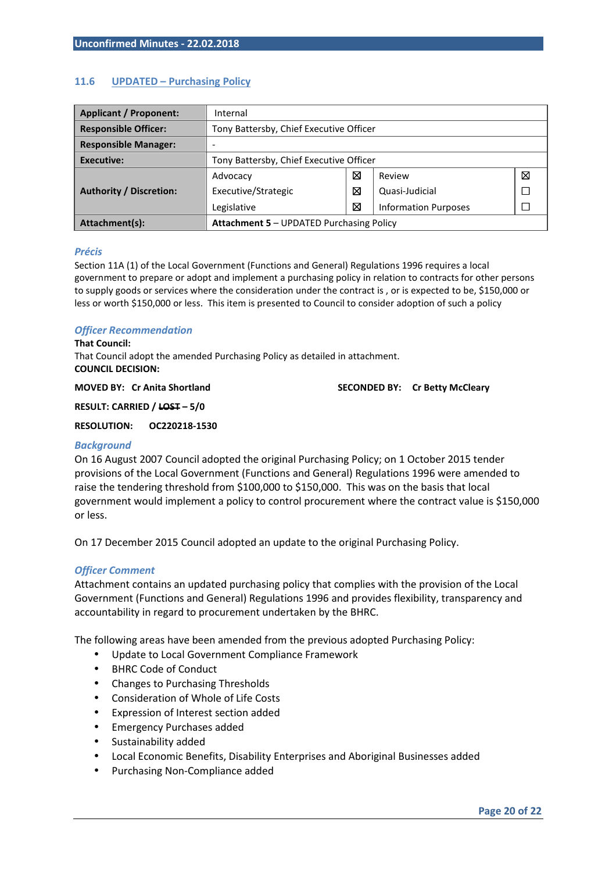#### **11.6 UPDATED – Purchasing Policy**

| <b>Applicant / Proponent:</b>  | Internal                                        |   |                             |   |
|--------------------------------|-------------------------------------------------|---|-----------------------------|---|
| <b>Responsible Officer:</b>    | Tony Battersby, Chief Executive Officer         |   |                             |   |
| <b>Responsible Manager:</b>    |                                                 |   |                             |   |
| Executive:                     | Tony Battersby, Chief Executive Officer         |   |                             |   |
|                                | Advocacy                                        | ⊠ | Review                      | ⊠ |
| <b>Authority / Discretion:</b> | Executive/Strategic                             | ⊠ | Quasi-Judicial              |   |
|                                | Legislative                                     | ⊠ | <b>Information Purposes</b> |   |
| Attachment(s):                 | <b>Attachment 5 - UPDATED Purchasing Policy</b> |   |                             |   |

#### *Précis*

Section 11A (1) of the Local Government (Functions and General) Regulations 1996 requires a local government to prepare or adopt and implement a purchasing policy in relation to contracts for other persons to supply goods or services where the consideration under the contract is , or is expected to be, \$150,000 or less or worth \$150,000 or less. This item is presented to Council to consider adoption of such a policy

#### *Officer Recommendation*

#### **That Council:**

That Council adopt the amended Purchasing Policy as detailed in attachment. **COUNCIL DECISION:** 

**MOVED BY: Cr Anita Shortland SECONDED BY: Cr Betty McCleary**  SECONDED BY: Cr Betty McCleary

**RESULT: CARRIED / LOST – 5/0** 

#### **RESOLUTION: OC220218-1530**

#### *Background*

On 16 August 2007 Council adopted the original Purchasing Policy; on 1 October 2015 tender provisions of the Local Government (Functions and General) Regulations 1996 were amended to raise the tendering threshold from \$100,000 to \$150,000. This was on the basis that local government would implement a policy to control procurement where the contract value is \$150,000 or less.

On 17 December 2015 Council adopted an update to the original Purchasing Policy.

#### *Officer Comment*

Attachment contains an updated purchasing policy that complies with the provision of the Local Government (Functions and General) Regulations 1996 and provides flexibility, transparency and accountability in regard to procurement undertaken by the BHRC.

The following areas have been amended from the previous adopted Purchasing Policy:

- Update to Local Government Compliance Framework
- BHRC Code of Conduct
- Changes to Purchasing Thresholds
- Consideration of Whole of Life Costs
- Expression of Interest section added
- Emergency Purchases added
- Sustainability added
- Local Economic Benefits, Disability Enterprises and Aboriginal Businesses added
- Purchasing Non-Compliance added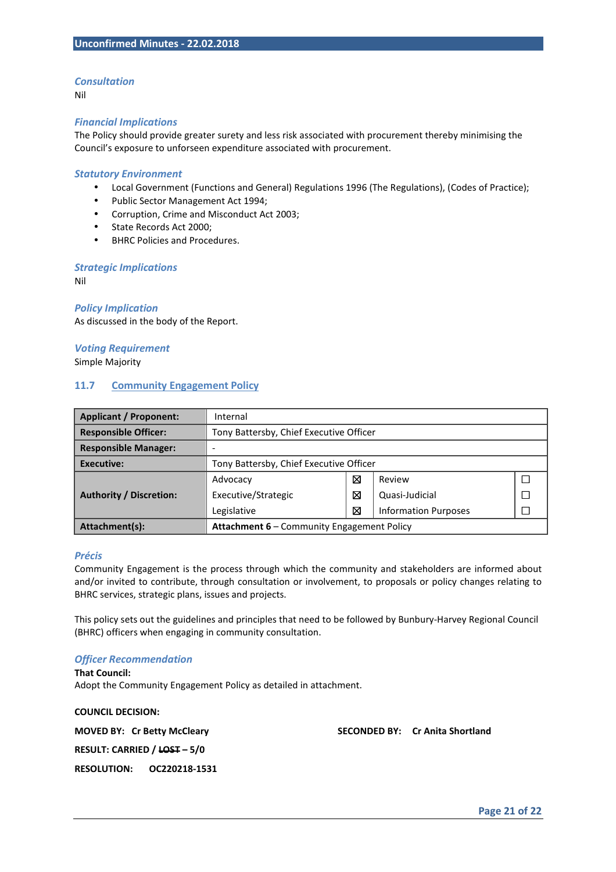#### *Consultation*

Nil

#### *Financial Implications*

The Policy should provide greater surety and less risk associated with procurement thereby minimising the Council's exposure to unforseen expenditure associated with procurement.

#### *Statutory Environment*

- Local Government (Functions and General) Regulations 1996 (The Regulations), (Codes of Practice);
- Public Sector Management Act 1994;
- Corruption, Crime and Misconduct Act 2003;
- State Records Act 2000;
- BHRC Policies and Procedures.

#### *Strategic Implications*

Nil

*Policy Implication*  As discussed in the body of the Report.

*Voting Requirement*  Simple Majority

#### **11.7 Community Engagement Policy**

| <b>Applicant / Proponent:</b>  | Internal                                          |   |                             |  |
|--------------------------------|---------------------------------------------------|---|-----------------------------|--|
| <b>Responsible Officer:</b>    | Tony Battersby, Chief Executive Officer           |   |                             |  |
| <b>Responsible Manager:</b>    |                                                   |   |                             |  |
| Executive:                     | Tony Battersby, Chief Executive Officer           |   |                             |  |
|                                | Advocacy                                          | ⊠ | Review                      |  |
| <b>Authority / Discretion:</b> | Executive/Strategic                               | ⊠ | Quasi-Judicial              |  |
|                                | Legislative                                       | ⊠ | <b>Information Purposes</b> |  |
| Attachment(s):                 | <b>Attachment 6 - Community Engagement Policy</b> |   |                             |  |

#### *Précis*

Community Engagement is the process through which the community and stakeholders are informed about and/or invited to contribute, through consultation or involvement, to proposals or policy changes relating to BHRC services, strategic plans, issues and projects.

This policy sets out the guidelines and principles that need to be followed by Bunbury-Harvey Regional Council (BHRC) officers when engaging in community consultation.

#### *Officer Recommendation*

**That Council:**  Adopt the Community Engagement Policy as detailed in attachment.

**COUNCIL DECISION:** 

**MOVED BY: Cr Betty McCleary SECONDED BY: Cr Anita Shortland** 

**RESULT: CARRIED / LOST – 5/0** 

**RESOLUTION: OC220218-1531**